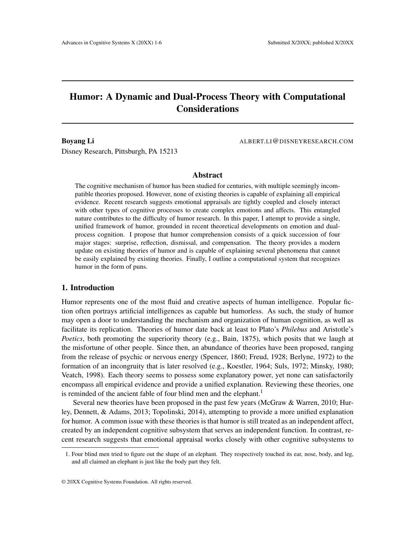# Humor: A Dynamic and Dual-Process Theory with Computational **Considerations**

Boyang Li **Boyang Li ALBERT.LI@DISNEYRESEARCH.COM** 

Disney Research, Pittsburgh, PA 15213

# Abstract

The cognitive mechanism of humor has been studied for centuries, with multiple seemingly incompatible theories proposed. However, none of existing theories is capable of explaining all empirical evidence. Recent research suggests emotional appraisals are tightly coupled and closely interact with other types of cognitive processes to create complex emotions and affects. This entangled nature contributes to the difficulty of humor research. In this paper, I attempt to provide a single, unified framework of humor, grounded in recent theoretical developments on emotion and dualprocess cognition. I propose that humor comprehension consists of a quick succession of four major stages: surprise, reflection, dismissal, and compensation. The theory provides a modern update on existing theories of humor and is capable of explaining several phenomena that cannot be easily explained by existing theories. Finally, I outline a computational system that recognizes humor in the form of puns.

#### 1. Introduction

Humor represents one of the most fluid and creative aspects of human intelligence. Popular fiction often portrays artificial intelligences as capable but humorless. As such, the study of humor may open a door to understanding the mechanism and organization of human cognition, as well as facilitate its replication. Theories of humor date back at least to Plato's *Philebus* and Aristotle's *Poetics*, both promoting the superiority theory (e.g., Bain, 1875), which posits that we laugh at the misfortune of other people. Since then, an abundance of theories have been proposed, ranging from the release of psychic or nervous energy (Spencer, 1860; Freud, 1928; Berlyne, 1972) to the formation of an incongruity that is later resolved (e.g., Koestler, 1964; Suls, 1972; Minsky, 1980; Veatch, 1998). Each theory seems to possess some explanatory power, yet none can satisfactorily encompass all empirical evidence and provide a unified explanation. Reviewing these theories, one is reminded of the ancient fable of four blind men and the elephant.<sup>1</sup>

Several new theories have been proposed in the past few years (McGraw & Warren, 2010; Hurley, Dennett, & Adams, 2013; Topolinski, 2014), attempting to provide a more unified explanation for humor. A common issue with these theories is that humor is still treated as an independent affect, created by an independent cognitive subsystem that serves an independent function. In contrast, recent research suggests that emotional appraisal works closely with other cognitive subsystems to

<sup>1.</sup> Four blind men tried to figure out the shape of an elephant. They respectively touched its ear, nose, body, and leg, and all claimed an elephant is just like the body part they felt.

<sup>© 20</sup>XX Cognitive Systems Foundation. All rights reserved.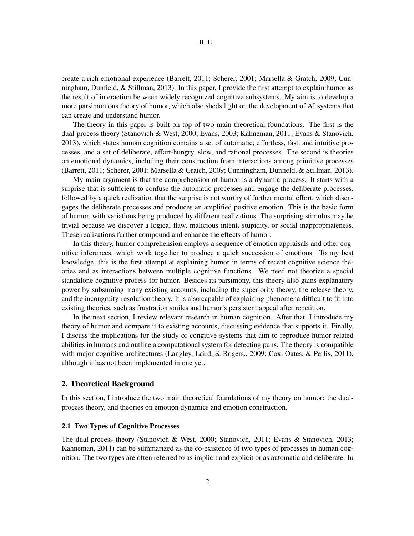create a rich emotional experience (Barrett, 2011; Scherer, 2001; Marsella & Gratch, 2009; Cunningham, Dunfield, & Stillman, 2013). In this paper, I provide the first attempt to explain humor as the result of interaction between widely recognized cognitive subsystems. My aim is to develop a more parsimonious theory of humor, which also sheds light on the development of AI systems that can create and understand humor.

The theory in this paper is built on top of two main theoretical foundations. The first is the dual-process theory (Stanovich & West, 2000; Evans, 2003; Kahneman, 2011; Evans & Stanovich, 2013), which states human cognition contains a set of automatic, effortless, fast, and intuitive processes, and a set of deliberate, effort-hungry, slow, and rational processes. The second is theories on emotional dynamics, including their construction from interactions among primitive processes (Barrett, 2011; Scherer, 2001; Marsella & Gratch, 2009; Cunningham, Dunfield, & Stillman, 2013).

My main argument is that the comprehension of humor is a dynamic process. It starts with a surprise that is sufficient to confuse the automatic processes and engage the deliberate processes, followed by a quick realization that the surprise is not worthy of further mental effort, which disengages the deliberate processes and produces an amplified positive emotion. This is the basic form of humor, with variations being produced by different realizations. The surprising stimulus may be trivial because we discover a logical flaw, malicious intent, stupidity, or social inappropriateness. These realizations further compound and enhance the effects of humor.

In this theory, humor comprehension employs a sequence of emotion appraisals and other cognitive inferences, which work together to produce a quick succession of emotions. To my best knowledge, this is the first attempt at explaining humor in terms of recent cognitive science theories and as interactions between multiple cognitive functions. We need not theorize a special standalone cognitive process for humor. Besides its parsimony, this theory also gains explanatory power by subsuming many existing accounts, including the superiority theory, the release theory, and the incongruity-resolution theory. It is also capable of explaining phenomena difficult to fit into existing theories, such as frustration smiles and humor's persistent appeal after repetition.

In the next section, I review relevant research in human cognition. After that, I introduce my theory of humor and compare it to existing accounts, discussing evidence that supports it. Finally, I discuss the implications for the study of congitive systems that aim to reproduce humor-related abilities in humans and outline a computational system for detecting puns. The theory is compatible with major cognitive architectures (Langley, Laird, & Rogers., 2009; Cox, Oates, & Perlis, 2011), although it has not been implemented in one yet.

#### 2. Theoretical Background

In this section, I introduce the two main theoretical foundations of my theory on humor: the dualprocess theory, and theories on emotion dynamics and emotion construction.

### 2.1 Two Types of Cognitive Processes

The dual-process theory (Stanovich & West, 2000; Stanovich, 2011; Evans & Stanovich, 2013; Kahneman, 2011) can be summarized as the co-existence of two types of processes in human cognition. The two types are often referred to as implicit and explicit or as automatic and deliberate. In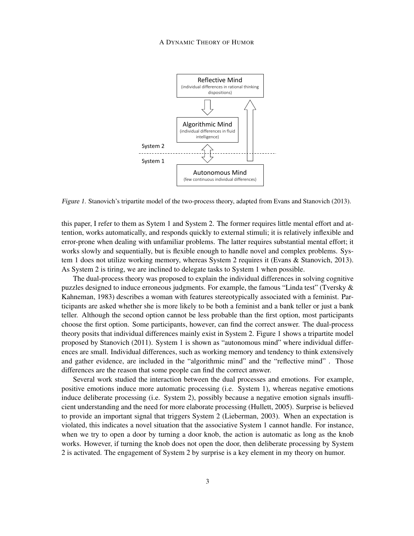#### A DYNAMIC THEORY OF HUMOR



Figure 1. Stanovich's tripartite model of the two-process theory, adapted from Evans and Stanovich (2013).

this paper, I refer to them as Sytem 1 and System 2. The former requires little mental effort and attention, works automatically, and responds quickly to external stimuli; it is relatively inflexible and error-prone when dealing with unfamiliar problems. The latter requires substantial mental effort; it works slowly and sequentially, but is flexible enough to handle novel and complex problems. System 1 does not utilize working memory, whereas System 2 requires it (Evans & Stanovich, 2013). As System 2 is tiring, we are inclined to delegate tasks to System 1 when possible.

The dual-process theory was proposed to explain the individual differences in solving cognitive puzzles designed to induce erroneous judgments. For example, the famous "Linda test" (Tversky & Kahneman, 1983) describes a woman with features stereotypically associated with a feminist. Participants are asked whether she is more likely to be both a feminist and a bank teller or just a bank teller. Although the second option cannot be less probable than the first option, most participants choose the first option. Some participants, however, can find the correct answer. The dual-process theory posits that individual differences mainly exist in System 2. Figure 1 shows a tripartite model proposed by Stanovich (2011). System 1 is shown as "autonomous mind" where individual differences are small. Individual differences, such as working memory and tendency to think extensively and gather evidence, are included in the "algorithmic mind" and the "reflective mind" . Those differences are the reason that some people can find the correct answer.

Several work studied the interaction between the dual processes and emotions. For example, positive emotions induce more automatic processing (i.e. System 1), whereas negative emotions induce deliberate processing (i.e. System 2), possibly because a negative emotion signals insufficient understanding and the need for more elaborate processing (Hullett, 2005). Surprise is believed to provide an important signal that triggers System 2 (Lieberman, 2003). When an expectation is violated, this indicates a novel situation that the associative System 1 cannot handle. For instance, when we try to open a door by turning a door knob, the action is automatic as long as the knob works. However, if turning the knob does not open the door, then deliberate processing by System 2 is activated. The engagement of System 2 by surprise is a key element in my theory on humor.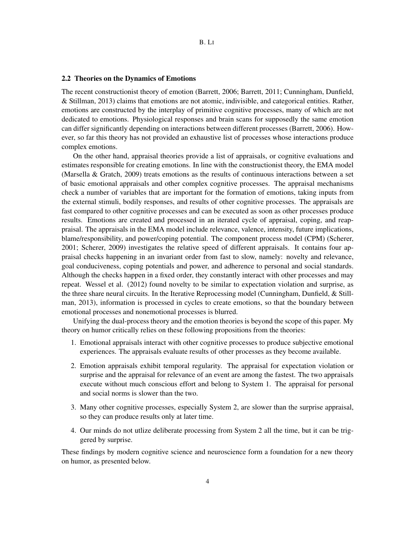#### 2.2 Theories on the Dynamics of Emotions

The recent constructionist theory of emotion (Barrett, 2006; Barrett, 2011; Cunningham, Dunfield, & Stillman, 2013) claims that emotions are not atomic, indivisible, and categorical entities. Rather, emotions are constructed by the interplay of primitive cognitive processes, many of which are not dedicated to emotions. Physiological responses and brain scans for supposedly the same emotion can differ significantly depending on interactions between different processes (Barrett, 2006). However, so far this theory has not provided an exhaustive list of processes whose interactions produce complex emotions.

On the other hand, appraisal theories provide a list of appraisals, or cognitive evaluations and estimates responsible for creating emotions. In line with the constructionist theory, the EMA model (Marsella & Gratch, 2009) treats emotions as the results of continuous interactions between a set of basic emotional appraisals and other complex cognitive processes. The appraisal mechanisms check a number of variables that are important for the formation of emotions, taking inputs from the external stimuli, bodily responses, and results of other cognitive processes. The appraisals are fast compared to other cognitive processes and can be executed as soon as other processes produce results. Emotions are created and processed in an iterated cycle of appraisal, coping, and reappraisal. The appraisals in the EMA model include relevance, valence, intensity, future implications, blame/responsibility, and power/coping potential. The component process model (CPM) (Scherer, 2001; Scherer, 2009) investigates the relative speed of different appraisals. It contains four appraisal checks happening in an invariant order from fast to slow, namely: novelty and relevance, goal conduciveness, coping potentials and power, and adherence to personal and social standards. Although the checks happen in a fixed order, they constantly interact with other processes and may repeat. Wessel et al. (2012) found novelty to be similar to expectation violation and surprise, as the three share neural circuits. In the Iterative Reprocessing model (Cunningham, Dunfield, & Stillman, 2013), information is processed in cycles to create emotions, so that the boundary between emotional processes and nonemotional processes is blurred.

Unifying the dual-process theory and the emotion theories is beyond the scope of this paper. My theory on humor critically relies on these following propositions from the theories:

- 1. Emotional appraisals interact with other cognitive processes to produce subjective emotional experiences. The appraisals evaluate results of other processes as they become available.
- 2. Emotion appraisals exhibit temporal regularity. The appraisal for expectation violation or surprise and the appraisal for relevance of an event are among the fastest. The two appraisals execute without much conscious effort and belong to System 1. The appraisal for personal and social norms is slower than the two.
- 3. Many other cognitive processes, especially System 2, are slower than the surprise appraisal, so they can produce results only at later time.
- 4. Our minds do not utlize deliberate processing from System 2 all the time, but it can be triggered by surprise.

These findings by modern cognitive science and neuroscience form a foundation for a new theory on humor, as presented below.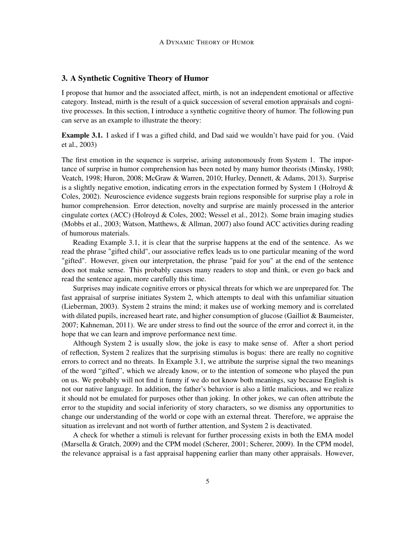### 3. A Synthetic Cognitive Theory of Humor

I propose that humor and the associated affect, mirth, is not an independent emotional or affective category. Instead, mirth is the result of a quick succession of several emotion appraisals and cognitive processes. In this section, I introduce a synthetic cognitive theory of humor. The following pun can serve as an example to illustrate the theory:

Example 3.1. I asked if I was a gifted child, and Dad said we wouldn't have paid for you. (Vaid et al., 2003)

The first emotion in the sequence is surprise, arising autonomously from System 1. The importance of surprise in humor comprehension has been noted by many humor theorists (Minsky, 1980; Veatch, 1998; Huron, 2008; McGraw & Warren, 2010; Hurley, Dennett, & Adams, 2013). Surprise is a slightly negative emotion, indicating errors in the expectation formed by System 1 (Holroyd  $\&$ Coles, 2002). Neuroscience evidence suggests brain regions responsible for surprise play a role in humor comprehension. Error detection, novelty and surprise are mainly processed in the anterior cingulate cortex (ACC) (Holroyd & Coles, 2002; Wessel et al., 2012). Some brain imaging studies (Mobbs et al., 2003; Watson, Matthews, & Allman, 2007) also found ACC activities during reading of humorous materials.

Reading Example 3.1, it is clear that the surprise happens at the end of the sentence. As we read the phrase "gifted child", our associative reflex leads us to one particular meaning of the word "gifted". However, given our interpretation, the phrase "paid for you" at the end of the sentence does not make sense. This probably causes many readers to stop and think, or even go back and read the sentence again, more carefully this time.

Surprises may indicate cognitive errors or physical threats for which we are unprepared for. The fast appraisal of surprise initiates System 2, which attempts to deal with this unfamiliar situation (Lieberman, 2003). System 2 strains the mind; it makes use of working memory and is correlated with dilated pupils, increased heart rate, and higher consumption of glucose (Gailliot & Baumeister, 2007; Kahneman, 2011). We are under stress to find out the source of the error and correct it, in the hope that we can learn and improve performance next time.

Although System 2 is usually slow, the joke is easy to make sense of. After a short period of reflection, System 2 realizes that the surprising stimulus is bogus: there are really no cognitive errors to correct and no threats. In Example 3.1, we attribute the surprise signal the two meanings of the word "gifted", which we already know, or to the intention of someone who played the pun on us. We probably will not find it funny if we do not know both meanings, say because English is not our native language. In addition, the father's behavior is also a little malicious, and we realize it should not be emulated for purposes other than joking. In other jokes, we can often attribute the error to the stupidity and social inferiority of story characters, so we dismiss any opportunities to change our understanding of the world or cope with an external threat. Therefore, we appraise the situation as irrelevant and not worth of further attention, and System 2 is deactivated.

A check for whether a stimuli is relevant for further processing exists in both the EMA model (Marsella & Gratch, 2009) and the CPM model (Scherer, 2001; Scherer, 2009). In the CPM model, the relevance appraisal is a fast appraisal happening earlier than many other appraisals. However,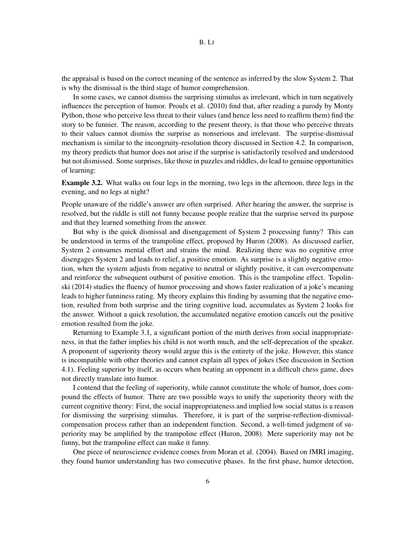the appraisal is based on the correct meaning of the sentence as inferred by the slow System 2. That is why the dismissal is the third stage of humor comprehension.

In some cases, we cannot dismiss the surprising stimulus as irrelevant, which in turn negatively influences the perception of humor. Proulx et al. (2010) find that, after reading a parody by Monty Python, those who perceive less threat to their values (and hence less need to reaffirm them) find the story to be funnier. The reason, according to the present theory, is that those who perceive threats to their values cannot dismiss the surprise as nonserious and irrelevant. The surprise-dismissal mechanism is similar to the incongruity-resolution theory discussed in Section 4.2. In comparison, my theory predicts that humor does not arise if the surprise is satisfactorily resolved and understood but not dismissed. Some surprises, like those in puzzles and riddles, do lead to genuine opportunities of learning:

Example 3.2. What walks on four legs in the morning, two legs in the afternoon, three legs in the evening, and no legs at night?

People unaware of the riddle's answer are often surprised. After hearing the answer, the surprise is resolved, but the riddle is still not funny because people realize that the surprise served its purpose and that they learned something from the answer.

But why is the quick dismissal and disengagement of System 2 processing funny? This can be understood in terms of the trampoline effect, proposed by Huron (2008). As discussed earlier, System 2 consumes mental effort and strains the mind. Realizing there was no cognitive error disengages System 2 and leads to relief, a positive emotion. As surprise is a slightly negative emotion, when the system adjusts from negative to neutral or slightly positive, it can overcompensate and reinforce the subsequent outburst of positive emotion. This is the trampoline effect. Topolinski (2014) studies the fluency of humor processing and shows faster realization of a joke's meaning leads to higher funniness rating. My theory explains this finding by assuming that the negative emotion, resulted from both surprise and the tiring cognitive load, accumulates as System 2 looks for the answer. Without a quick resolution, the accumulated negative emotion cancels out the positive emotion resulted from the joke.

Returning to Example 3.1, a significant portion of the mirth derives from social inappropriateness, in that the father implies his child is not worth much, and the self-deprecation of the speaker. A proponent of superiority theory would argue this is the entirety of the joke. However, this stance is incompatible with other theories and cannot explain all types of jokes (See discussion in Section 4.1). Feeling superior by itself, as occurs when beating an opponent in a difficult chess game, does not directly translate into humor.

I contend that the feeling of superiority, while cannot constitute the whole of humor, does compound the effects of humor. There are two possible ways to unify the superiority theory with the current cognitive theory: First, the social inappropriateness and implied low social status is a reason for dismissing the surprising stimulus. Therefore, it is part of the surprise-reflection-dismissalcompensation process rather than an independent function. Second, a well-timed judgment of superiority may be amplified by the trampoline effect (Huron, 2008). Mere superiority may not be funny, but the trampoline effect can make it funny.

One piece of neuroscience evidence comes from Moran et al. (2004). Based on fMRI imaging, they found humor understanding has two consecutive phases. In the first phase, humor detection,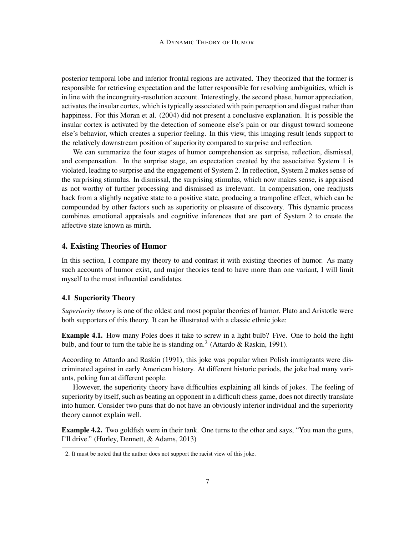posterior temporal lobe and inferior frontal regions are activated. They theorized that the former is responsible for retrieving expectation and the latter responsible for resolving ambiguities, which is in line with the incongruity-resolution account. Interestingly, the second phase, humor appreciation, activates the insular cortex, which is typically associated with pain perception and disgust rather than happiness. For this Moran et al. (2004) did not present a conclusive explanation. It is possible the insular cortex is activated by the detection of someone else's pain or our disgust toward someone else's behavior, which creates a superior feeling. In this view, this imaging result lends support to the relatively downstream position of superiority compared to surprise and reflection.

We can summarize the four stages of humor comprehension as surprise, reflection, dismissal, and compensation. In the surprise stage, an expectation created by the associative System 1 is violated, leading to surprise and the engagement of System 2. In reflection, System 2 makes sense of the surprising stimulus. In dismissal, the surprising stimulus, which now makes sense, is appraised as not worthy of further processing and dismissed as irrelevant. In compensation, one readjusts back from a slightly negative state to a positive state, producing a trampoline effect, which can be compounded by other factors such as superiority or pleasure of discovery. This dynamic process combines emotional appraisals and cognitive inferences that are part of System 2 to create the affective state known as mirth.

# 4. Existing Theories of Humor

In this section, I compare my theory to and contrast it with existing theories of humor. As many such accounts of humor exist, and major theories tend to have more than one variant, I will limit myself to the most influential candidates.

### 4.1 Superiority Theory

*Superiority theory* is one of the oldest and most popular theories of humor. Plato and Aristotle were both supporters of this theory. It can be illustrated with a classic ethnic joke:

Example 4.1. How many Poles does it take to screw in a light bulb? Five. One to hold the light bulb, and four to turn the table he is standing on.<sup>2</sup> (Attardo & Raskin, 1991).

According to Attardo and Raskin (1991), this joke was popular when Polish immigrants were discriminated against in early American history. At different historic periods, the joke had many variants, poking fun at different people.

However, the superiority theory have difficulties explaining all kinds of jokes. The feeling of superiority by itself, such as beating an opponent in a difficult chess game, does not directly translate into humor. Consider two puns that do not have an obviously inferior individual and the superiority theory cannot explain well.

Example 4.2. Two goldfish were in their tank. One turns to the other and says, "You man the guns, I'll drive." (Hurley, Dennett, & Adams, 2013)

<sup>2.</sup> It must be noted that the author does not support the racist view of this joke.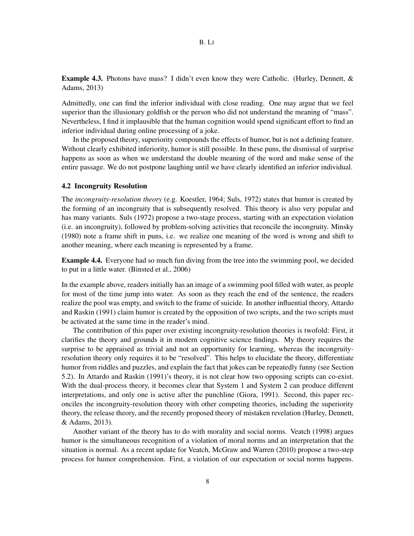B. LI

Example 4.3. Photons have mass? I didn't even know they were Catholic. (Hurley, Dennett, & Adams, 2013)

Admittedly, one can find the inferior individual with close reading. One may argue that we feel superior than the illusionary goldfish or the person who did not understand the meaning of "mass". Nevertheless, I find it implausible that the human cognition would spend significant effort to find an inferior individual during online processing of a joke.

In the proposed theory, superiority compounds the effects of humor, but is not a defining feature. Without clearly exhibited inferiority, humor is still possible. In these puns, the dismissal of surprise happens as soon as when we understand the double meaning of the word and make sense of the entire passage. We do not postpone laughing until we have clearly identified an inferior individual.

#### 4.2 Incongruity Resolution

The *incongruity-resolution theory* (e.g. Koestler, 1964; Suls, 1972) states that humor is created by the forming of an incongruity that is subsequently resolved. This theory is also very popular and has many variants. Suls (1972) propose a two-stage process, starting with an expectation violation (i.e. an incongruity), followed by problem-solving activities that reconcile the incongruity. Minsky (1980) note a frame shift in puns, i.e. we realize one meaning of the word is wrong and shift to another meaning, where each meaning is represented by a frame.

Example 4.4. Everyone had so much fun diving from the tree into the swimming pool, we decided to put in a little water. (Binsted et al., 2006)

In the example above, readers initially has an image of a swimming pool filled with water, as people for most of the time jump into water. As soon as they reach the end of the sentence, the readers realize the pool was empty, and switch to the frame of suicide. In another influential theory, Attardo and Raskin (1991) claim humor is created by the opposition of two scripts, and the two scripts must be activated at the same time in the reader's mind.

The contribution of this paper over existing incongruity-resolution theories is twofold: First, it clarifies the theory and grounds it in modern cognitive science findings. My theory requires the surprise to be appraised as trivial and not an opportunity for learning, whereas the incongruityresolution theory only requires it to be "resolved". This helps to elucidate the theory, differentiate humor from riddles and puzzles, and explain the fact that jokes can be repeatedly funny (see Section 5.2). In Attardo and Raskin (1991)'s theory, it is not clear how two opposing scripts can co-exist. With the dual-process theory, it becomes clear that System 1 and System 2 can produce different interpretations, and only one is active after the punchline (Giora, 1991). Second, this paper reconciles the incongruity-resolution theory with other competing theories, including the superiority theory, the release theory, and the recently proposed theory of mistaken revelation (Hurley, Dennett, & Adams, 2013).

Another variant of the theory has to do with morality and social norms. Veatch (1998) argues humor is the simultaneous recognition of a violation of moral norms and an interpretation that the situation is normal. As a recent update for Veatch, McGraw and Warren (2010) propose a two-step process for humor comprehension. First, a violation of our expectation or social norms happens.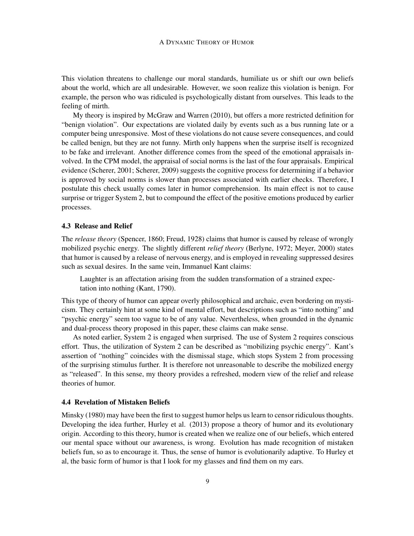This violation threatens to challenge our moral standards, humiliate us or shift our own beliefs about the world, which are all undesirable. However, we soon realize this violation is benign. For example, the person who was ridiculed is psychologically distant from ourselves. This leads to the feeling of mirth.

My theory is inspired by McGraw and Warren (2010), but offers a more restricted definition for "benign violation". Our expectations are violated daily by events such as a bus running late or a computer being unresponsive. Most of these violations do not cause severe consequences, and could be called benign, but they are not funny. Mirth only happens when the surprise itself is recognized to be fake and irrelevant. Another difference comes from the speed of the emotional appraisals involved. In the CPM model, the appraisal of social norms is the last of the four appraisals. Empirical evidence (Scherer, 2001; Scherer, 2009) suggests the cognitive process for determining if a behavior is approved by social norms is slower than processes associated with earlier checks. Therefore, I postulate this check usually comes later in humor comprehension. Its main effect is not to cause surprise or trigger System 2, but to compound the effect of the positive emotions produced by earlier processes.

#### 4.3 Release and Relief

The *release theory* (Spencer, 1860; Freud, 1928) claims that humor is caused by release of wrongly mobilized psychic energy. The slightly different *relief theory* (Berlyne, 1972; Meyer, 2000) states that humor is caused by a release of nervous energy, and is employed in revealing suppressed desires such as sexual desires. In the same vein, Immanuel Kant claims:

Laughter is an affectation arising from the sudden transformation of a strained expectation into nothing (Kant, 1790).

This type of theory of humor can appear overly philosophical and archaic, even bordering on mysticism. They certainly hint at some kind of mental effort, but descriptions such as "into nothing" and "psychic energy" seem too vague to be of any value. Nevertheless, when grounded in the dynamic and dual-process theory proposed in this paper, these claims can make sense.

As noted earlier, System 2 is engaged when surprised. The use of System 2 requires conscious effort. Thus, the utilization of System 2 can be described as "mobilizing psychic energy". Kant's assertion of "nothing" coincides with the dismissal stage, which stops System 2 from processing of the surprising stimulus further. It is therefore not unreasonable to describe the mobilized energy as "released". In this sense, my theory provides a refreshed, modern view of the relief and release theories of humor.

#### 4.4 Revelation of Mistaken Beliefs

Minsky (1980) may have been the first to suggest humor helps us learn to censor ridiculous thoughts. Developing the idea further, Hurley et al. (2013) propose a theory of humor and its evolutionary origin. According to this theory, humor is created when we realize one of our beliefs, which entered our mental space without our awareness, is wrong. Evolution has made recognition of mistaken beliefs fun, so as to encourage it. Thus, the sense of humor is evolutionarily adaptive. To Hurley et al, the basic form of humor is that I look for my glasses and find them on my ears.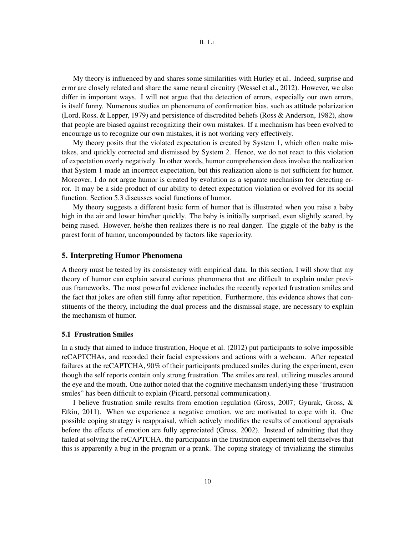My theory is influenced by and shares some similarities with Hurley et al.. Indeed, surprise and error are closely related and share the same neural circuitry (Wessel et al., 2012). However, we also differ in important ways. I will not argue that the detection of errors, especially our own errors, is itself funny. Numerous studies on phenomena of confirmation bias, such as attitude polarization (Lord, Ross, & Lepper, 1979) and persistence of discredited beliefs (Ross & Anderson, 1982), show that people are biased against recognizing their own mistakes. If a mechanism has been evolved to encourage us to recognize our own mistakes, it is not working very effectively.

My theory posits that the violated expectation is created by System 1, which often make mistakes, and quickly corrected and dismissed by System 2. Hence, we do not react to this violation of expectation overly negatively. In other words, humor comprehension does involve the realization that System 1 made an incorrect expectation, but this realization alone is not sufficient for humor. Moreover, I do not argue humor is created by evolution as a separate mechanism for detecting error. It may be a side product of our ability to detect expectation violation or evolved for its social function. Section 5.3 discusses social functions of humor.

My theory suggests a different basic form of humor that is illustrated when you raise a baby high in the air and lower him/her quickly. The baby is initially surprised, even slightly scared, by being raised. However, he/she then realizes there is no real danger. The giggle of the baby is the purest form of humor, uncompounded by factors like superiority.

#### 5. Interpreting Humor Phenomena

A theory must be tested by its consistency with empirical data. In this section, I will show that my theory of humor can explain several curious phenomena that are difficult to explain under previous frameworks. The most powerful evidence includes the recently reported frustration smiles and the fact that jokes are often still funny after repetition. Furthermore, this evidence shows that constituents of the theory, including the dual process and the dismissal stage, are necessary to explain the mechanism of humor.

#### 5.1 Frustration Smiles

In a study that aimed to induce frustration, Hoque et al. (2012) put participants to solve impossible reCAPTCHAs, and recorded their facial expressions and actions with a webcam. After repeated failures at the reCAPTCHA, 90% of their participants produced smiles during the experiment, even though the self reports contain only strong frustration. The smiles are real, utilizing muscles around the eye and the mouth. One author noted that the cognitive mechanism underlying these "frustration smiles" has been difficult to explain (Picard, personal communication).

I believe frustration smile results from emotion regulation (Gross, 2007; Gyurak, Gross, & Etkin, 2011). When we experience a negative emotion, we are motivated to cope with it. One possible coping strategy is reappraisal, which actively modifies the results of emotional appraisals before the effects of emotion are fully appreciated (Gross, 2002). Instead of admitting that they failed at solving the reCAPTCHA, the participants in the frustration experiment tell themselves that this is apparently a bug in the program or a prank. The coping strategy of trivializing the stimulus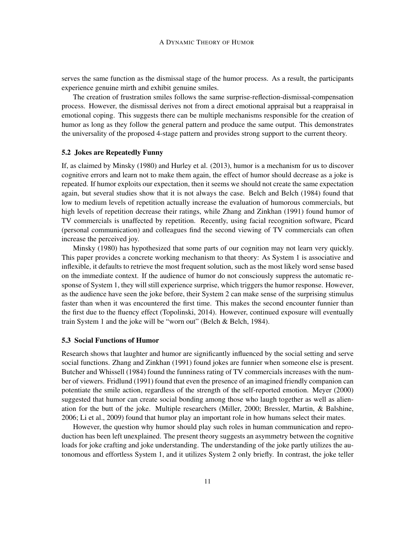serves the same function as the dismissal stage of the humor process. As a result, the participants experience genuine mirth and exhibit genuine smiles.

The creation of frustration smiles follows the same surprise-reflection-dismissal-compensation process. However, the dismissal derives not from a direct emotional appraisal but a reappraisal in emotional coping. This suggests there can be multiple mechanisms responsible for the creation of humor as long as they follow the general pattern and produce the same output. This demonstrates the universality of the proposed 4-stage pattern and provides strong support to the current theory.

# 5.2 Jokes are Repeatedly Funny

If, as claimed by Minsky (1980) and Hurley et al. (2013), humor is a mechanism for us to discover cognitive errors and learn not to make them again, the effect of humor should decrease as a joke is repeated. If humor exploits our expectation, then it seems we should not create the same expectation again, but several studies show that it is not always the case. Belch and Belch (1984) found that low to medium levels of repetition actually increase the evaluation of humorous commercials, but high levels of repetition decrease their ratings, while Zhang and Zinkhan (1991) found humor of TV commercials is unaffected by repetition. Recently, using facial recognition software, Picard (personal communication) and colleagues find the second viewing of TV commercials can often increase the perceived joy.

Minsky (1980) has hypothesized that some parts of our cognition may not learn very quickly. This paper provides a concrete working mechanism to that theory: As System 1 is associative and inflexible, it defaults to retrieve the most frequent solution, such as the most likely word sense based on the immediate context. If the audience of humor do not consciously suppress the automatic response of System 1, they will still experience surprise, which triggers the humor response. However, as the audience have seen the joke before, their System 2 can make sense of the surprising stimulus faster than when it was encountered the first time. This makes the second encounter funnier than the first due to the fluency effect (Topolinski, 2014). However, continued exposure will eventually train System 1 and the joke will be "worn out" (Belch & Belch, 1984).

### 5.3 Social Functions of Humor

Research shows that laughter and humor are significantly influenced by the social setting and serve social functions. Zhang and Zinkhan (1991) found jokes are funnier when someone else is present. Butcher and Whissell (1984) found the funniness rating of TV commercials increases with the number of viewers. Fridlund (1991) found that even the presence of an imagined friendly companion can potentiate the smile action, regardless of the strength of the self-reported emotion. Meyer (2000) suggested that humor can create social bonding among those who laugh together as well as alienation for the butt of the joke. Multiple researchers (Miller, 2000; Bressler, Martin, & Balshine, 2006; Li et al., 2009) found that humor play an important role in how humans select their mates.

However, the question why humor should play such roles in human communication and reproduction has been left unexplained. The present theory suggests an asymmetry between the cognitive loads for joke crafting and joke understanding. The understanding of the joke partly utilizes the autonomous and effortless System 1, and it utilizes System 2 only briefly. In contrast, the joke teller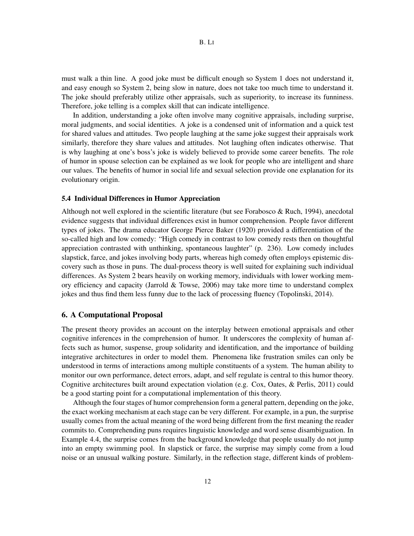must walk a thin line. A good joke must be difficult enough so System 1 does not understand it, and easy enough so System 2, being slow in nature, does not take too much time to understand it. The joke should preferably utilize other appraisals, such as superiority, to increase its funniness. Therefore, joke telling is a complex skill that can indicate intelligence.

In addition, understanding a joke often involve many cognitive appraisals, including surprise, moral judgments, and social identities. A joke is a condensed unit of information and a quick test for shared values and attitudes. Two people laughing at the same joke suggest their appraisals work similarly, therefore they share values and attitudes. Not laughing often indicates otherwise. That is why laughing at one's boss's joke is widely believed to provide some career benefits. The role of humor in spouse selection can be explained as we look for people who are intelligent and share our values. The benefits of humor in social life and sexual selection provide one explanation for its evolutionary origin.

#### 5.4 Individual Differences in Humor Appreciation

Although not well explored in the scientific literature (but see Forabosco & Ruch, 1994), anecdotal evidence suggests that individual differences exist in humor comprehension. People favor different types of jokes. The drama educator George Pierce Baker (1920) provided a differentiation of the so-called high and low comedy: "High comedy in contrast to low comedy rests then on thoughtful appreciation contrasted with unthinking, spontaneous laughter" (p. 236). Low comedy includes slapstick, farce, and jokes involving body parts, whereas high comedy often employs epistemic discovery such as those in puns. The dual-process theory is well suited for explaining such individual differences. As System 2 bears heavily on working memory, individuals with lower working memory efficiency and capacity (Jarrold & Towse, 2006) may take more time to understand complex jokes and thus find them less funny due to the lack of processing fluency (Topolinski, 2014).

#### 6. A Computational Proposal

The present theory provides an account on the interplay between emotional appraisals and other cognitive inferences in the comprehension of humor. It underscores the complexity of human affects such as humor, suspense, group solidarity and identification, and the importance of building integrative architectures in order to model them. Phenomena like frustration smiles can only be understood in terms of interactions among multiple constituents of a system. The human ability to monitor our own performance, detect errors, adapt, and self regulate is central to this humor theory. Cognitive architectures built around expectation violation (e.g. Cox, Oates, & Perlis, 2011) could be a good starting point for a computational implementation of this theory.

Although the four stages of humor comprehension form a general pattern, depending on the joke, the exact working mechanism at each stage can be very different. For example, in a pun, the surprise usually comes from the actual meaning of the word being different from the first meaning the reader commits to. Comprehending puns requires linguistic knowledge and word sense disambiguation. In Example 4.4, the surprise comes from the background knowledge that people usually do not jump into an empty swimming pool. In slapstick or farce, the surprise may simply come from a loud noise or an unusual walking posture. Similarly, in the reflection stage, different kinds of problem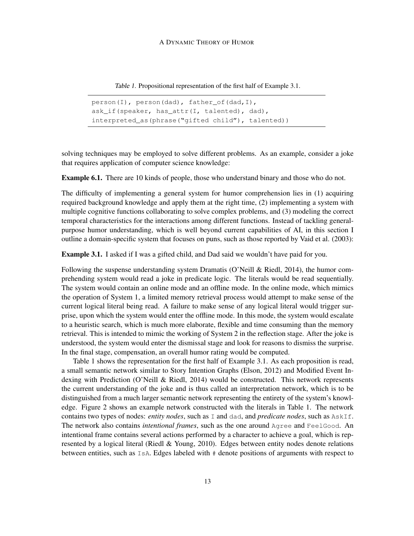Table 1. Propositional representation of the first half of Example 3.1.

```
person(I), person(dad), father of(dad, I),
ask_if(speaker, has_attr(I, talented), dad),
interpreted as(phrase("gifted child"), talented))
```
solving techniques may be employed to solve different problems. As an example, consider a joke that requires application of computer science knowledge:

Example 6.1. There are 10 kinds of people, those who understand binary and those who do not.

The difficulty of implementing a general system for humor comprehension lies in (1) acquiring required background knowledge and apply them at the right time, (2) implementing a system with multiple cognitive functions collaborating to solve complex problems, and (3) modeling the correct temporal characteristics for the interactions among different functions. Instead of tackling generalpurpose humor understanding, which is well beyond current capabilities of AI, in this section I outline a domain-specific system that focuses on puns, such as those reported by Vaid et al. (2003):

Example 3.1. I asked if I was a gifted child, and Dad said we wouldn't have paid for you.

Following the suspense understanding system Dramatis (O'Neill & Riedl, 2014), the humor comprehending system would read a joke in predicate logic. The literals would be read sequentially. The system would contain an online mode and an offline mode. In the online mode, which mimics the operation of System 1, a limited memory retrieval process would attempt to make sense of the current logical literal being read. A failure to make sense of any logical literal would trigger surprise, upon which the system would enter the offline mode. In this mode, the system would escalate to a heuristic search, which is much more elaborate, flexible and time consuming than the memory retrieval. This is intended to mimic the working of System 2 in the reflection stage. After the joke is understood, the system would enter the dismissal stage and look for reasons to dismiss the surprise. In the final stage, compensation, an overall humor rating would be computed.

Table 1 shows the representation for the first half of Example 3.1. As each proposition is read, a small semantic network similar to Story Intention Graphs (Elson, 2012) and Modified Event Indexing with Prediction (O'Neill & Riedl, 2014) would be constructed. This network represents the current understanding of the joke and is thus called an interpretation network, which is to be distinguished from a much larger semantic network representing the entirety of the system's knowledge. Figure 2 shows an example network constructed with the literals in Table 1. The network contains two types of nodes: *entity nodes*, such as I and dad, and *predicate nodes*, such as AskIf. The network also contains *intentional frames*, such as the one around Agree and FeelGood. An intentional frame contains several actions performed by a character to achieve a goal, which is represented by a logical literal (Riedl & Young, 2010). Edges between entity nodes denote relations between entities, such as IsA. Edges labeled with # denote positions of arguments with respect to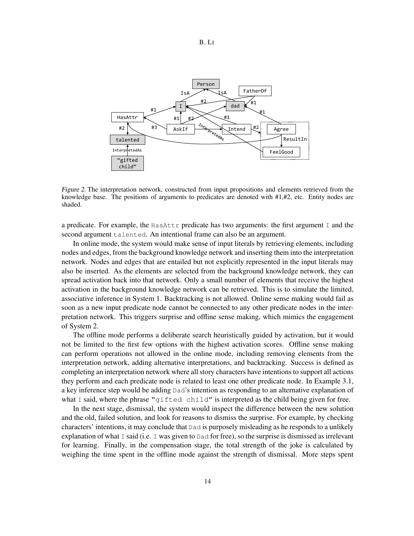

Figure 2. The interpretation network, constructed from input propositions and elements retrieved from the knowledge base. The positions of arguments to predicates are denoted with #1,#2, etc. Entity nodes are shaded.

a predicate. For example, the  $H$ asAttr predicate has two arguments: the first argument I and the second argument talented. An intentional frame can also be an argument.

In online mode, the system would make sense of input literals by retrieving elements, including nodes and edges, from the background knowledge network and inserting them into the interpretation network. Nodes and edges that are entailed but not explicitly represented in the input literals may also be inserted. As the elements are selected from the background knowledge network, they can spread activation back into that network. Only a small number of elements that receive the highest activation in the background knowledge network can be retrieved. This is to simulate the limited, associative inference in System 1. Backtracking is not allowed. Online sense making would fail as soon as a new input predicate node cannot be connected to any other predicate nodes in the interpretation network. This triggers surprise and offline sense making, which mimics the engagement of System 2.

The offline mode performs a deliberate search heuristically guided by activation, but it would not be limited to the first few options with the highest activation scores. Offline sense making can perform operations not allowed in the online mode, including removing elements from the interpretation network, adding alternative interpretations, and backtracking. Success is defined as completing an interpretation network where all story characters have intentions to support all actions they perform and each predicate node is related to least one other predicate node. In Example 3.1, a key inference step would be adding Dad's intention as responding to an alternative explanation of what I said, where the phrase "gifted child" is interpreted as the child being given for free.

In the next stage, dismissal, the system would inspect the difference between the new solution and the old, failed solution, and look for reasons to dismiss the surprise. For example, by checking characters' intentions, it may conclude that Dad is purposely misleading as he responds to a unlikely explanation of what I said (i.e. I was given to  $Dad$  for free), so the surprise is dismissed as irrelevant for learning. Finally, in the compensation stage, the total strength of the joke is calculated by weighing the time spent in the offline mode against the strength of dismissal. More steps spent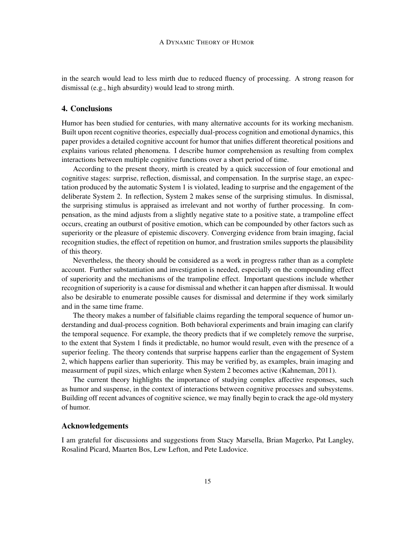in the search would lead to less mirth due to reduced fluency of processing. A strong reason for dismissal (e.g., high absurdity) would lead to strong mirth.

## 4. Conclusions

Humor has been studied for centuries, with many alternative accounts for its working mechanism. Built upon recent cognitive theories, especially dual-process cognition and emotional dynamics, this paper provides a detailed cognitive account for humor that unifies different theoretical positions and explains various related phenomena. I describe humor comprehension as resulting from complex interactions between multiple cognitive functions over a short period of time.

According to the present theory, mirth is created by a quick succession of four emotional and cognitive stages: surprise, reflection, dismissal, and compensation. In the surprise stage, an expectation produced by the automatic System 1 is violated, leading to surprise and the engagement of the deliberate System 2. In reflection, System 2 makes sense of the surprising stimulus. In dismissal, the surprising stimulus is appraised as irrelevant and not worthy of further processing. In compensation, as the mind adjusts from a slightly negative state to a positive state, a trampoline effect occurs, creating an outburst of positive emotion, which can be compounded by other factors such as superiority or the pleasure of epistemic discovery. Converging evidence from brain imaging, facial recognition studies, the effect of repetition on humor, and frustration smiles supports the plausibility of this theory.

Nevertheless, the theory should be considered as a work in progress rather than as a complete account. Further substantiation and investigation is needed, especially on the compounding effect of superiority and the mechanisms of the trampoline effect. Important questions include whether recognition of superiority is a cause for dismissal and whether it can happen after dismissal. It would also be desirable to enumerate possible causes for dismissal and determine if they work similarly and in the same time frame.

The theory makes a number of falsifiable claims regarding the temporal sequence of humor understanding and dual-process cognition. Both behavioral experiments and brain imaging can clarify the temporal sequence. For example, the theory predicts that if we completely remove the surprise, to the extent that System 1 finds it predictable, no humor would result, even with the presence of a superior feeling. The theory contends that surprise happens earlier than the engagement of System 2, which happens earlier than superiority. This may be verified by, as examples, brain imaging and measurment of pupil sizes, which enlarge when System 2 becomes active (Kahneman, 2011).

The current theory highlights the importance of studying complex affective responses, such as humor and suspense, in the context of interactions between cognitive processes and subsystems. Building off recent advances of cognitive science, we may finally begin to crack the age-old mystery of humor.

# Acknowledgements

I am grateful for discussions and suggestions from Stacy Marsella, Brian Magerko, Pat Langley, Rosalind Picard, Maarten Bos, Lew Lefton, and Pete Ludovice.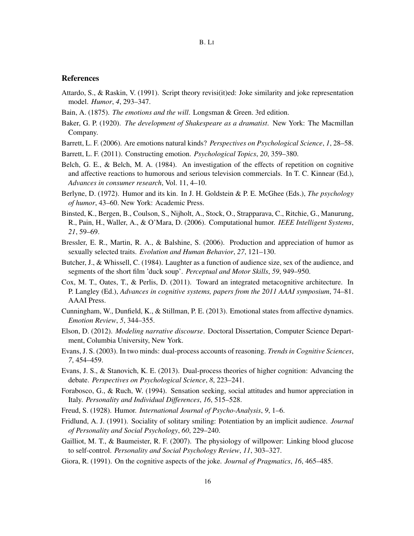### References

- Attardo, S., & Raskin, V. (1991). Script theory revisi(it)ed: Joke similarity and joke representation model. *Humor*, *4*, 293–347.
- Bain, A. (1875). *The emotions and the will*. Longsman & Green. 3rd edition.
- Baker, G. P. (1920). *The development of Shakespeare as a dramatist*. New York: The Macmillan Company.
- Barrett, L. F. (2006). Are emotions natural kinds? *Perspectives on Psychological Science*, *1*, 28–58.
- Barrett, L. F. (2011). Constructing emotion. *Psychological Topics*, *20*, 359–380.
- Belch, G. E., & Belch, M. A. (1984). An investigation of the effects of repetition on cognitive and affective reactions to humorous and serious television commercials. In T. C. Kinnear (Ed.), *Advances in consumer research*, Vol. 11, 4–10.
- Berlyne, D. (1972). Humor and its kin. In J. H. Goldstein & P. E. McGhee (Eds.), *The psychology of humor*, 43–60. New York: Academic Press.
- Binsted, K., Bergen, B., Coulson, S., Nijholt, A., Stock, O., Strapparava, C., Ritchie, G., Manurung, R., Pain, H., Waller, A., & O'Mara, D. (2006). Computational humor. *IEEE Intelligent Systems*, *21*, 59–69.
- Bressler, E. R., Martin, R. A., & Balshine, S. (2006). Production and appreciation of humor as sexually selected traits. *Evolution and Human Behavior*, *27*, 121–130.
- Butcher, J., & Whissell, C. (1984). Laughter as a function of audience size, sex of the audience, and segments of the short film 'duck soup'. *Perceptual and Motor Skills*, *59*, 949–950.
- Cox, M. T., Oates, T., & Perlis, D. (2011). Toward an integrated metacognitive architecture. In P. Langley (Ed.), *Advances in cognitive systems, papers from the 2011 AAAI symposium*, 74–81. AAAI Press.
- Cunningham, W., Dunfield, K., & Stillman, P. E. (2013). Emotional states from affective dynamics. *Emotion Review*, *5*, 344–355.
- Elson, D. (2012). *Modeling narrative discourse*. Doctoral Dissertation, Computer Science Department, Columbia University, New York.
- Evans, J. S. (2003). In two minds: dual-process accounts of reasoning. *Trends in Cognitive Sciences*, *7*, 454–459.
- Evans, J. S., & Stanovich, K. E. (2013). Dual-process theories of higher cognition: Advancing the debate. *Perspectives on Psychological Science*, *8*, 223–241.
- Forabosco, G., & Ruch, W. (1994). Sensation seeking, social attitudes and humor appreciation in Italy. *Personality and Individual Differences*, *16*, 515–528.
- Freud, S. (1928). Humor. *International Journal of Psycho-Analysis*, *9*, 1–6.
- Fridlund, A. J. (1991). Sociality of solitary smiling: Potentiation by an implicit audience. *Journal of Personality and Social Psychology*, *60*, 229–240.
- Gailliot, M. T., & Baumeister, R. F. (2007). The physiology of willpower: Linking blood glucose to self-control. *Personality and Social Psychology Review*, *11*, 303–327.
- Giora, R. (1991). On the cognitive aspects of the joke. *Journal of Pragmatics*, *16*, 465–485.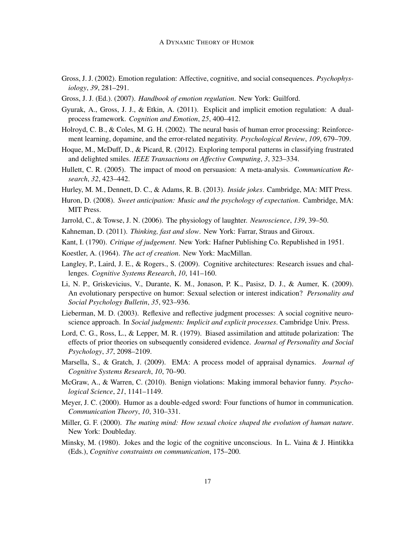- Gross, J. J. (2002). Emotion regulation: Affective, cognitive, and social consequences. *Psychophysiology*, *39*, 281–291.
- Gross, J. J. (Ed.). (2007). *Handbook of emotion regulation*. New York: Guilford.
- Gyurak, A., Gross, J. J., & Etkin, A. (2011). Explicit and implicit emotion regulation: A dualprocess framework. *Cognition and Emotion*, *25*, 400–412.
- Holroyd, C. B., & Coles, M. G. H. (2002). The neural basis of human error processing: Reinforcement learning, dopamine, and the error-related negativity. *Psychological Review*, *109*, 679–709.
- Hoque, M., McDuff, D., & Picard, R. (2012). Exploring temporal patterns in classifying frustrated and delighted smiles. *IEEE Transactions on Affective Computing*, *3*, 323–334.
- Hullett, C. R. (2005). The impact of mood on persuasion: A meta-analysis. *Communication Research*, *32*, 423–442.
- Hurley, M. M., Dennett, D. C., & Adams, R. B. (2013). *Inside jokes*. Cambridge, MA: MIT Press.
- Huron, D. (2008). *Sweet anticipation: Music and the psychology of expectation*. Cambridge, MA: MIT Press.
- Jarrold, C., & Towse, J. N. (2006). The physiology of laughter. *Neuroscience*, *139*, 39–50.
- Kahneman, D. (2011). *Thinking, fast and slow*. New York: Farrar, Straus and Giroux.
- Kant, I. (1790). *Critique of judgement*. New York: Hafner Publishing Co. Republished in 1951.
- Koestler, A. (1964). *The act of creation*. New York: MacMillan.
- Langley, P., Laird, J. E., & Rogers., S. (2009). Cognitive architectures: Research issues and challenges. *Cognitive Systems Research*, *10*, 141–160.
- Li, N. P., Griskevicius, V., Durante, K. M., Jonason, P. K., Pasisz, D. J., & Aumer, K. (2009). An evolutionary perspective on humor: Sexual selection or interest indication? *Personality and Social Psychology Bulletin*, *35*, 923–936.
- Lieberman, M. D. (2003). Reflexive and reflective judgment processes: A social cognitive neuroscience approach. In *Social judgments: Implicit and explicit processes*. Cambridge Univ. Press.
- Lord, C. G., Ross, L., & Lepper, M. R. (1979). Biased assimilation and attitude polarization: The effects of prior theories on subsequently considered evidence. *Journal of Personality and Social Psychology*, *37*, 2098–2109.
- Marsella, S., & Gratch, J. (2009). EMA: A process model of appraisal dynamics. *Journal of Cognitive Systems Research*, *10*, 70–90.
- McGraw, A., & Warren, C. (2010). Benign violations: Making immoral behavior funny. *Psychological Science*, *21*, 1141–1149.
- Meyer, J. C. (2000). Humor as a double-edged sword: Four functions of humor in communication. *Communication Theory*, *10*, 310–331.
- Miller, G. F. (2000). *The mating mind: How sexual choice shaped the evolution of human nature*. New York: Doubleday.
- Minsky, M. (1980). Jokes and the logic of the cognitive unconscious. In L. Vaina & J. Hintikka (Eds.), *Cognitive constraints on communication*, 175–200.